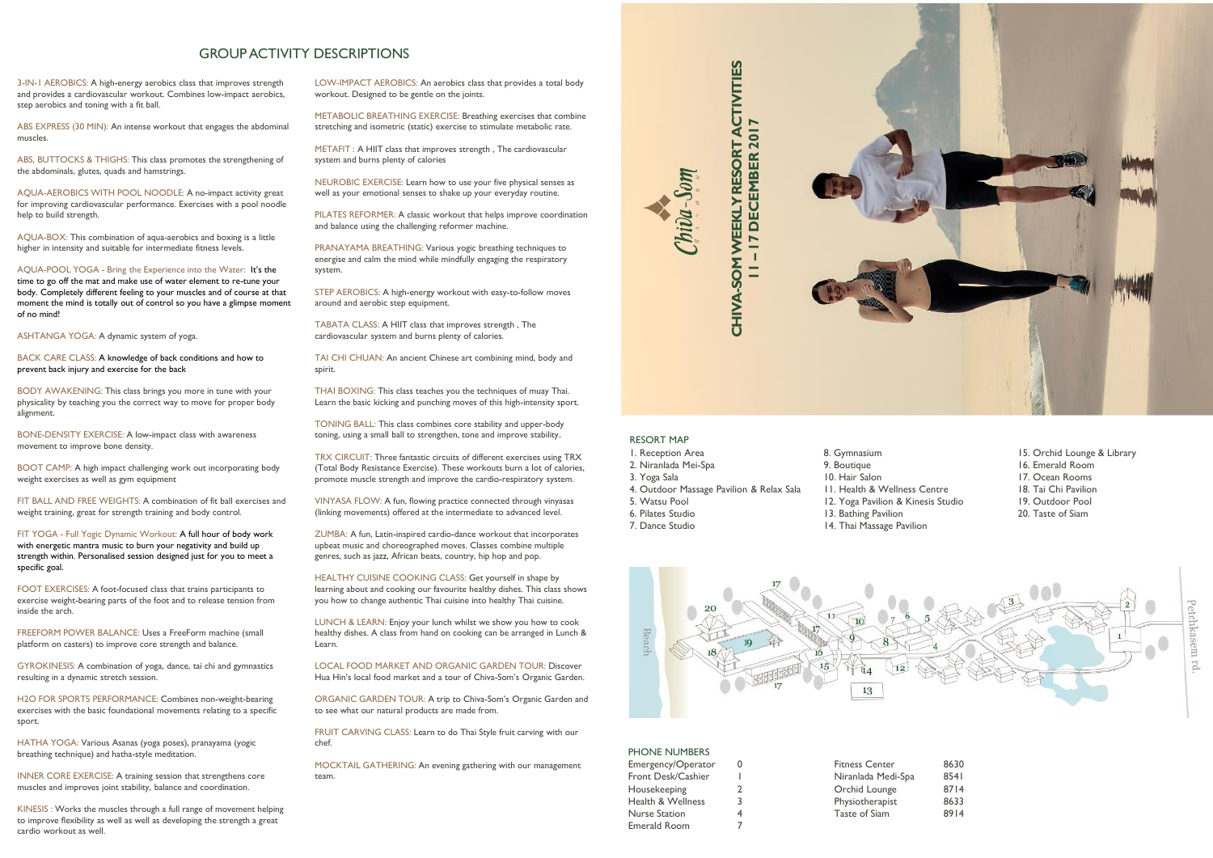

## RESORT MAP

- 1. Reception Area
- 2. Niranlada Mei-Spa
- 3. Yoga Sala
- 4. Outdoor Massage Pavilion & Relax Sala
- 5. Watsu Pool
- 6. Pilates Studio
- 7. Dance Studio

3-IN-1 AEROBICS: A high-energy aerobics class that improves strength and provides a cardiovascular workout. Combines low-impact aerobics, step aerobics and toning with a fit ball.

ABS EXPRESS (30 MIN): An intense workout that engages the abdominal muscles.

ABS, BUTTOCKS & THIGHS: This class promotes the strengthening of the abdominals, glutes, quads and hamstrings.

AQUA-AEROBICS WITH POOL NOODLE: A no-impact activity great for improving cardiovascular performance. Exercises with a pool noodle help to build strength.

AQUA-BOX: This combination of aqua-aerobics and boxing is a little higher in intensity and suitable for intermediate fitness levels.

AQUA-POOL YOGA - Bring the Experience into the Water: It's the time to go off the mat and make use of water element to re-tune your body. Completely different feeling to your muscles and of course at that moment the mind is totally out of control so you have a glimpse moment of no mind!

ASHTANGA YOGA: A dynamic system of yoga.

BACK CARE CLASS: A knowledge of back conditions and how to prevent back injury and exercise for the back

BODY AWAKENING: This class brings you more in tune with your physicality by teaching you the correct way to move for proper body alignment.

BONE-DENSITY EXERCISE: A low-impact class with awareness movement to improve bone density.

BOOT CAMP: A high impact challenging work out incorporating body weight exercises as well as gym equipment

FIT BALL AND FREE WEIGHTS: A combination of fit ball exercises and weight training, great for strength training and body control.

FIT YOGA - Full Yogic Dynamic Workout: A full hour of body work with energetic mantra music to burn your negativity and build up strength within. Personalised session designed just for you to meet a specific goal.

FOOT EXERCISES: A foot-focused class that trains participants to exercise weight-bearing parts of the foot and to release tension from inside the arch.

FREEFORM POWER BALANCE: Uses a FreeForm machine (small platform on casters) to improve core strength and balance.

GYROKINESIS: A combination of yoga, dance, tai chi and gymnastics resulting in a dynamic stretch session.

H2O FOR SPORTS PERFORMANCE: Combines non-weight-bearing exercises with the basic foundational movements relating to a specific sport.

HATHA YOGA: Various Asanas (yoga poses), pranayama (yogic breathing technique) and hatha-style meditation.

INNER CORE EXERCISE: A training session that strengthens core muscles and improves joint stability, balance and coordination.

KINESIS : Works the muscles through a full range of movement helping to improve flexibility as well as well as developing the strength a great cardio workout as well.

LOW-IMPACT AEROBICS: An aerobics class that provides a total body workout. Designed to be gentle on the joints.

METABOLIC BREATHING EXERCISE: Breathing exercises that combine stretching and isometric (static) exercise to stimulate metabolic rate.

METAFIT : A HIIT class that improves strength , The cardiovascular system and burns plenty of calories

NEUROBIC EXERCISE: Learn how to use your five physical senses as well as your emotional senses to shake up your everyday routine.

PILATES REFORMER: A classic workout that helps improve coordination and balance using the challenging reformer machine.

PRANAYAMA BREATHING: Various yogic breathing techniques to energise and calm the mind while mindfully engaging the respiratory system.

STEP AEROBICS: A high-energy workout with easy-to-follow moves around and aerobic step equipment.

TABATA CLASS: A HIIT class that improves strength , The cardiovascular system and burns plenty of calories.

TAI CHI CHUAN: An ancient Chinese art combining mind, body and spirit.

THAI BOXING: This class teaches you the techniques of muay Thai. Learn the basic kicking and punching moves of this high-intensity sport.

TONING BALL: This class combines core stability and upper-body toning, using a small ball to strengthen, tone and improve stability.

TRX CIRCUIT: Three fantastic circuits of different exercises using TRX (Total Body Resistance Exercise). These workouts burn a lot of calories, promote muscle strength and improve the cardio-respiratory system.

VINYASA FLOW: A fun, flowing practice connected through vinyasas (linking movements) offered at the intermediate to advanced level.

ZUMBA: A fun, Latin-inspired cardio-dance workout that incorporates upbeat music and choreographed moves. Classes combine multiple genres, such as jazz, African beats, country, hip hop and pop.

HEALTHY CUISINE COOKING CLASS: Get yourself in shape by learning about and cooking our favourite healthy dishes. This class shows you how to change authentic Thai cuisine into healthy Thai cuisine.

LUNCH & LEARN: Enjoy your lunch whilst we show you how to cook healthy dishes. A class from hand on cooking can be arranged in Lunch & Learn.

LOCAL FOOD MARKET AND ORGANIC GARDEN TOUR: Discover Hua Hin's local food market and a tour of Chiva-Som's Organic Garden.

ORGANIC GARDEN TOUR: A trip to Chiva-Som's Organic Garden and to see what our natural products are made from.

FRUIT CARVING CLASS: Learn to do Thai Style fruit carving with our chef.

MOCKTAIL GATHERING: An evening gathering with our management team.

## GROUP ACTIVITY DESCRIPTIONS

- 8. Gymnasium
- 9. Boutique
- 10. Hair Salon
- 11. Health & Wellness Centre
- 12. Yoga Pavilion & Kinesis Studio
- 13. Bathing Pavilion
- 14. Thai Massage Pavilion



PHONE NUMBERS Emergency/Operator 0 Front Desk/Cashier Housekeeping 2 Health & Wellness 3 Nurse Station 4 Emerald Room 7

Fitness Center 8630 Niranlada Medi-Spa 8541 Orchid Lounge 8714 Physiotherapist 8633 Taste of Siam 8914



- 15. Orchid Lounge & Library
- 16. Emerald Room
- 17. Ocean Rooms
- 18. Tai Chi Pavilion
- 19. Outdoor Pool
- 20. Taste of Siam